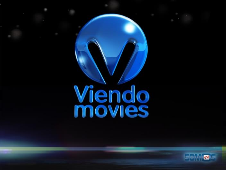# Wiendo

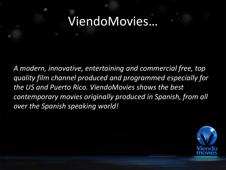#### ViendoMovies…

*A modern, innovative, entertaining and commercial free, top quality film channel produced and programmed especially for the US and Puerto Rico. ViendoMovies shows the best contemporary movies originally produced in Spanish, from all over the Spanish speaking world!*

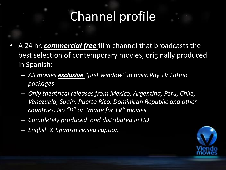#### Channel profile

- A 24 hr. *commercial free* film channel that broadcasts the best selection of contemporary movies, originally produced in Spanish:
	- *All movies exclusive "first window" in basic Pay TV Latino packages*
	- *Only theatrical releases from Mexico, Argentina, Peru, Chile, Venezuela, Spain, Puerto Rico, Dominican Republic and other countries. No "B" or "made for TV" movies*
	- *Completely produced and distributed in HD*
	- *English & Spanish closed caption*

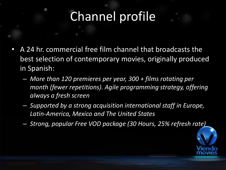#### Channel profile

- A 24 hr. commercial free film channel that broadcasts the best selection of contemporary movies, originally produced in Spanish:
	- *More than 120 premieres per year, 300 + films rotating per month (fewer repetitions). Agile programming strategy, offering always a fresh screen*
	- *Supported by a strong acquisition international staff in Europe, Latin-America, Mexico and The United States*
	- *Strong, popular Free VOD package (30 Hours, 25% refresh rate)*

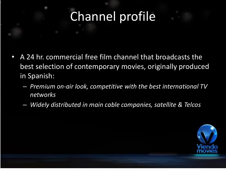#### Channel profile

- A 24 hr. commercial free film channel that broadcasts the best selection of contemporary movies, originally produced in Spanish:
	- *Premium on-air look, competitive with the best international TV networks*
	- *Widely distributed in main cable companies, satellite & Telcos*

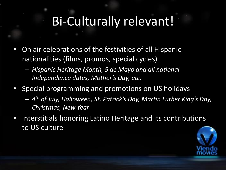#### Bi-Culturally relevant!

- On air celebrations of the festivities of all Hispanic nationalities (films, promos, special cycles)
	- *Hispanic Heritage Month, 5 de Mayo and all national Independence dates, Mother's Day, etc.*
- Special programming and promotions on US holidays
	- *4 th of July, Halloween, St. Patrick's Day, Martin Luther King's Day, Christmas, New Year*
- Interstitials honoring Latino Heritage and its contributions to US culture

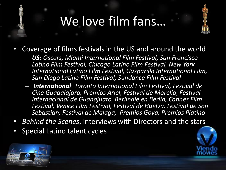### We love film fans…



- Coverage of films festivals in the US and around the world
	- *US***:** *Oscars, Miami International Film Festival, San Francisco Latino Film Festival, Chicago Latino Film Festival, New York International Latino Film Festival, Gasparilla International Film, San Diego Latino Film Festival, Sundance Film Festival*
	- *International*: *Toronto International Film Festival, Festival de Cine Guadalajara, Premios Ariel, Festival de Morelia, Festival Internacional de Guanajuato, Berlinale en Berlin, Cannes Film Festival, Venice Film Festival, Festival de Huelva, Festival de San Sebastian, Festival de Malaga, Premios Goya, Premios Platino*
- *Behind the Scenes*, interviews with Directors and the stars
- Special Latino talent cycles



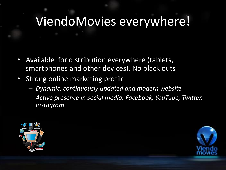#### ViendoMovies everywhere!

- Available for distribution everywhere (tablets, smartphones and other devices). No black outs
- Strong online marketing profile
	- *Dynamic, continuously updated and modern website*
	- *Active presence in social media: Facebook, YouTube, Twitter, Instagram*



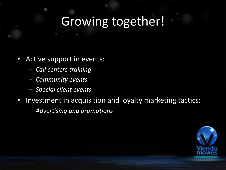#### Growing together!

- Active support in events:
	- *Call centers training*
	- *Community events*
	- *Special client events*
- Investment in acquisition and loyalty marketing tactics:
	- *Advertising and promotions*